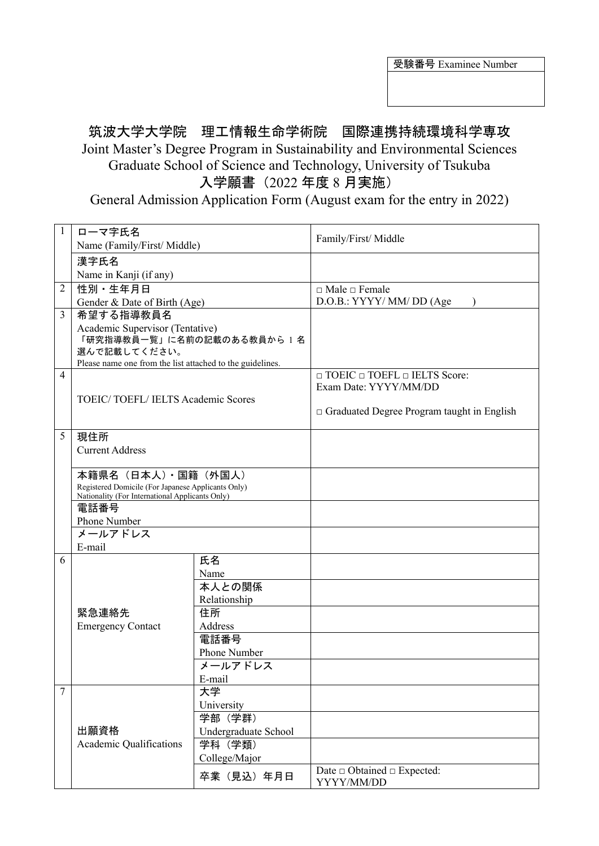受験番号 Examinee Number

## 筑波大学大学院 理工情報生命学術院 国際連携持続環境科学専攻 Joint Master's Degree Program in Sustainability and Environmental Sciences Graduate School of Science and Technology, University of Tsukuba 入学願書(2022 年度 8 月実施)

General Admission Application Form (August exam for the entry in 2022)

| $\mathbf{1}$   | ローマ字氏名                                                                                                                         |                      | Family/First/ Middle                              |
|----------------|--------------------------------------------------------------------------------------------------------------------------------|----------------------|---------------------------------------------------|
|                | Name (Family/First/ Middle)                                                                                                    |                      |                                                   |
|                | 漢字氏名                                                                                                                           |                      |                                                   |
|                | Name in Kanji (if any)                                                                                                         |                      |                                                   |
| $\overline{2}$ | 性別·生年月日                                                                                                                        |                      | $\Box$ Male $\Box$ Female                         |
|                | Gender & Date of Birth (Age)                                                                                                   |                      | D.O.B.: YYYY/ MM/ DD (Age                         |
| 3              | 希望する指導教員名                                                                                                                      |                      |                                                   |
|                | Academic Supervisor (Tentative)                                                                                                |                      |                                                   |
|                | 「研究指導教員一覧」に名前の記載のある教員から1名                                                                                                      |                      |                                                   |
|                | 選んで記載してください。<br>Please name one from the list attached to the guidelines.                                                      |                      |                                                   |
| 4              |                                                                                                                                |                      | $\Box$ TOEIC $\Box$ TOEFL $\Box$ IELTS Score:     |
|                |                                                                                                                                |                      | Exam Date: YYYY/MM/DD                             |
|                | TOEIC/TOEFL/IELTS Academic Scores                                                                                              |                      |                                                   |
|                |                                                                                                                                |                      | $\Box$ Graduated Degree Program taught in English |
|                |                                                                                                                                |                      |                                                   |
| 5              | 現住所<br><b>Current Address</b>                                                                                                  |                      |                                                   |
|                |                                                                                                                                |                      |                                                   |
|                |                                                                                                                                |                      |                                                   |
|                | 本籍県名 (日本人) · 国籍 (外国人)<br>Registered Domicile (For Japanese Applicants Only)<br>Nationality (For International Applicants Only) |                      |                                                   |
|                |                                                                                                                                |                      |                                                   |
|                | 電話番号                                                                                                                           |                      |                                                   |
|                | Phone Number                                                                                                                   |                      |                                                   |
|                | メールアドレス                                                                                                                        |                      |                                                   |
|                | E-mail                                                                                                                         |                      |                                                   |
| 6              |                                                                                                                                | 氏名                   |                                                   |
|                |                                                                                                                                | Name                 |                                                   |
|                |                                                                                                                                | 本人との関係               |                                                   |
|                |                                                                                                                                | Relationship         |                                                   |
|                | 緊急連絡先                                                                                                                          | 住所                   |                                                   |
|                | <b>Emergency Contact</b>                                                                                                       | Address              |                                                   |
|                |                                                                                                                                | 電話番号                 |                                                   |
|                |                                                                                                                                | Phone Number         |                                                   |
|                |                                                                                                                                | メールアドレス              |                                                   |
|                |                                                                                                                                | E-mail               |                                                   |
| 7              |                                                                                                                                | 大学                   |                                                   |
|                |                                                                                                                                | University           |                                                   |
|                |                                                                                                                                | 学部 (学群)              |                                                   |
|                | 出願資格                                                                                                                           | Undergraduate School |                                                   |
|                | Academic Qualifications                                                                                                        | 学科 (学類)              |                                                   |
|                |                                                                                                                                | College/Major        |                                                   |
|                |                                                                                                                                | 卒業 (見込) 年月日          | Date $\Box$ Obtained $\Box$ Expected:             |
|                |                                                                                                                                |                      | YYYY/MM/DD                                        |